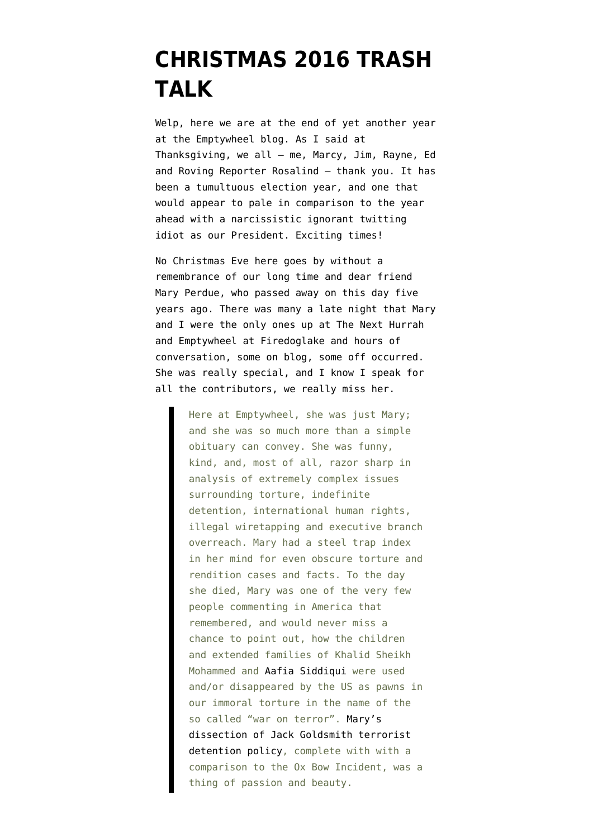## **[CHRISTMAS 2016 TRASH](https://www.emptywheel.net/2016/12/24/christmas-2016-trash-talk/) [TALK](https://www.emptywheel.net/2016/12/24/christmas-2016-trash-talk/)**

Welp, here we are at the end of yet another year at the Emptywheel blog. As I said at Thanksgiving, we all – me, Marcy, Jim, Rayne, Ed and Roving Reporter Rosalind – thank you. It has been a tumultuous election year, and one that would appear to pale in comparison to the year ahead with a narcissistic ignorant twitting idiot as our President. Exciting times!

No Christmas Eve here goes by without a remembrance of our long time and dear friend Mary Perdue, [who passed away on this day five](https://www.emptywheel.net/2012/02/06/in-memoriam-mary-beth-perdue/) [years ago.](https://www.emptywheel.net/2012/02/06/in-memoriam-mary-beth-perdue/) There was many a late night that Mary and I were the only ones up at The Next Hurrah and Emptywheel at Firedoglake and hours of conversation, some on blog, some off occurred. She was really special, and I know I speak for all the contributors, we really miss her.

> Here at Emptywheel, she was just Mary; and she was so much more than a simple obituary can convey. She was funny, kind, and, most of all, razor sharp in analysis of extremely complex issues surrounding torture, indefinite detention, international human rights, illegal wiretapping and executive branch overreach. Mary had a steel trap index in her mind for even obscure torture and rendition cases and facts. To the day she died, Mary was one of the very few people commenting in America that remembered, and would never miss a chance to point out, how the children and extended families of Khalid Sheikh Mohammed and [Aafia Siddiqui](http://emptywheel.firedoglake.com/2010/04/11/has-aafia-siddiquis-daughter-surfaced/) were used and/or disappeared by the US as pawns in our immoral torture in the name of the so called "war on terror". [Mary's](http://emptywheel.firedoglake.com/2010/09/11/a-way-towards-the-rule-of-law-–-an-answer-to-cap’n-jack/) [dissection of Jack Goldsmith terrorist](http://emptywheel.firedoglake.com/2010/09/11/a-way-towards-the-rule-of-law-–-an-answer-to-cap’n-jack/) [detention policy,](http://emptywheel.firedoglake.com/2010/09/11/a-way-towards-the-rule-of-law-–-an-answer-to-cap’n-jack/) complete with with a comparison to the Ox Bow Incident, was a thing of passion and beauty.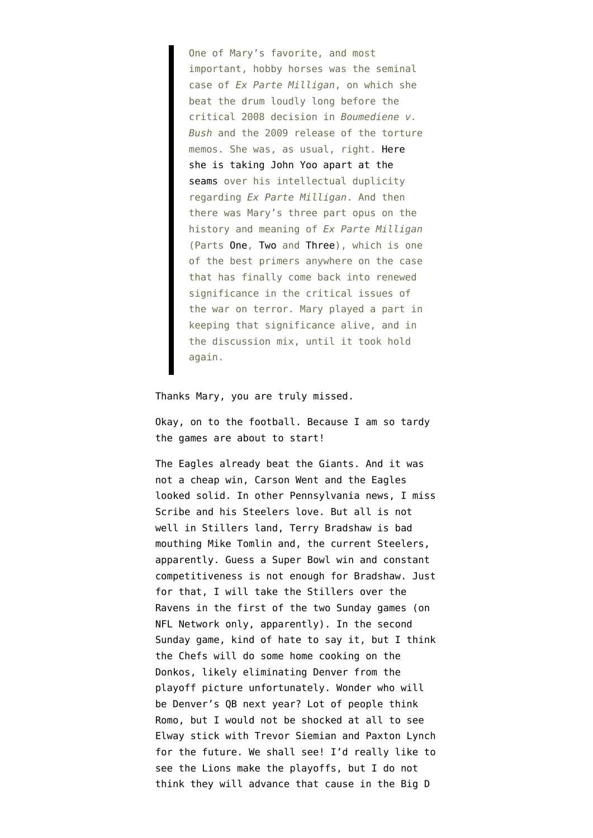One of Mary's favorite, and most important, hobby horses was the seminal case of *Ex Parte Milligan*, on which she beat the drum loudly long before the critical 2008 decision in *Boumediene v. Bush* and the 2009 release of the torture memos. She was, as usual, right. [Here](http://emptywheel.firedoglake.com/2009/12/08/yoo-to-opr-law-is-“largely-irrelevant”/) [she is taking John Yoo apart at the](http://emptywheel.firedoglake.com/2009/12/08/yoo-to-opr-law-is-“largely-irrelevant”/) [seams](http://emptywheel.firedoglake.com/2009/12/08/yoo-to-opr-law-is-“largely-irrelevant”/) over his intellectual duplicity regarding *Ex Parte Milligan*. And then there was Mary's three part opus on the history and meaning of *Ex Parte Milligan* (Parts [One](http://emptywheel.firedoglake.com/2010/10/04/unconstitutional-surveillance-united-states-v-u-s-district-court-who-the-winner-is-may-be-a-secret-part-1/), [Two](http://emptywheel.firedoglake.com/2010/10/05/unconstitutional-surveillance-united-states-v-united-states-district-court-who-the-winner-is-may-be-a-secret-part-2/) and [Three](http://emptywheel.firedoglake.com/2010/10/21/unconstitutional-surveillance-united-states-v-united-states-district-court-who-the-winner-is-may-be-a-secret-–-part-3/)), which is one of the best primers anywhere on the case that has finally come back into renewed significance in the critical issues of the war on terror. Mary played a part in keeping that significance alive, and in the discussion mix, until it took hold again.

## Thanks Mary, you are truly missed.

Okay, on to the football. Because I am so tardy the games are about to start!

The Eagles already beat the Giants. And it was not a cheap win, Carson Went and the Eagles looked solid. In other Pennsylvania news, I miss Scribe and his Steelers love. But all is not well in Stillers land, [Terry Bradshaw is bad](http://profootballtalk.nbcsports.com/2016/12/24/terry-bradshaw-on-mike-tomlin-great-cheerleader-not-a-great-coach/) [mouthing](http://profootballtalk.nbcsports.com/2016/12/24/terry-bradshaw-on-mike-tomlin-great-cheerleader-not-a-great-coach/) Mike Tomlin and, the current Steelers, apparently. Guess a Super Bowl win and constant competitiveness is not enough for Bradshaw. Just for that, I will take the Stillers over the Ravens in the first of the two Sunday games (on NFL Network only, apparently). In the second Sunday game, kind of hate to say it, but I think the Chefs will do some home cooking on the Donkos, likely eliminating Denver from the playoff picture unfortunately. Wonder who will be Denver's QB next year? Lot of people think Romo, but I would not be shocked at all to see Elway stick with Trevor Siemian and Paxton Lynch for the future. We shall see! I'd really like to see the Lions make the playoffs, but I do not think they will advance that cause in the Big D